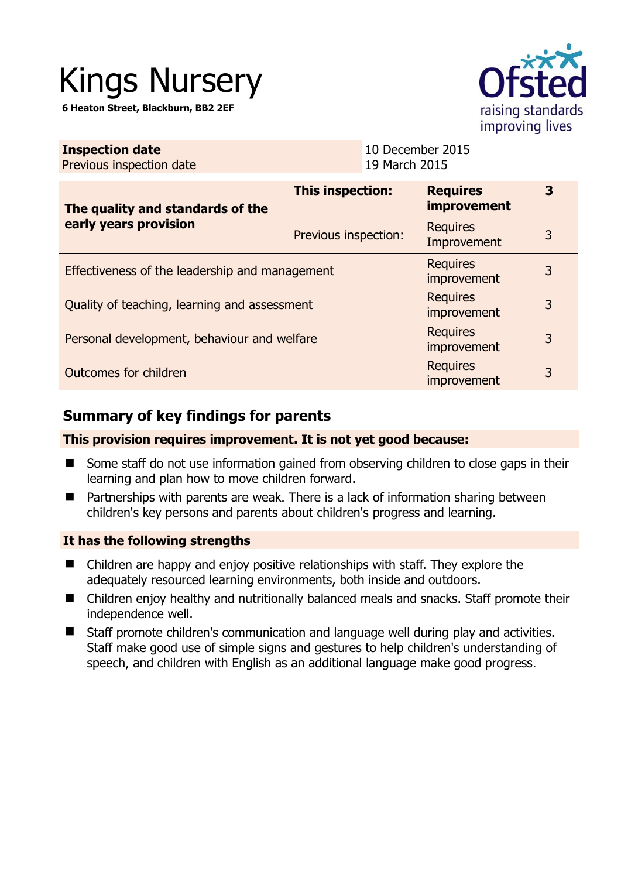# Kings Nursery

**6 Heaton Street, Blackburn, BB2 2EF** 



| <b>Inspection date</b><br>Previous inspection date        |                         | 10 December 2015<br>19 March 2015 |                                       |   |
|-----------------------------------------------------------|-------------------------|-----------------------------------|---------------------------------------|---|
| The quality and standards of the<br>early years provision | <b>This inspection:</b> |                                   | <b>Requires</b><br><i>improvement</i> | 3 |
|                                                           | Previous inspection:    |                                   | <b>Requires</b><br>Improvement        | 3 |
| Effectiveness of the leadership and management            |                         |                                   | <b>Requires</b><br>improvement        | 3 |
| Quality of teaching, learning and assessment              |                         |                                   | <b>Requires</b><br>improvement        | 3 |
| Personal development, behaviour and welfare               |                         |                                   | <b>Requires</b><br>improvement        | 3 |
| Outcomes for children                                     |                         |                                   | <b>Requires</b><br>improvement        | 3 |

# **Summary of key findings for parents**

## **This provision requires improvement. It is not yet good because:**

- Some staff do not use information gained from observing children to close gaps in their learning and plan how to move children forward.
- Partnerships with parents are weak. There is a lack of information sharing between children's key persons and parents about children's progress and learning.

## **It has the following strengths**

- Children are happy and enjoy positive relationships with staff. They explore the adequately resourced learning environments, both inside and outdoors.
- Children enjoy healthy and nutritionally balanced meals and snacks. Staff promote their independence well.
- Staff promote children's communication and language well during play and activities. Staff make good use of simple signs and gestures to help children's understanding of speech, and children with English as an additional language make good progress.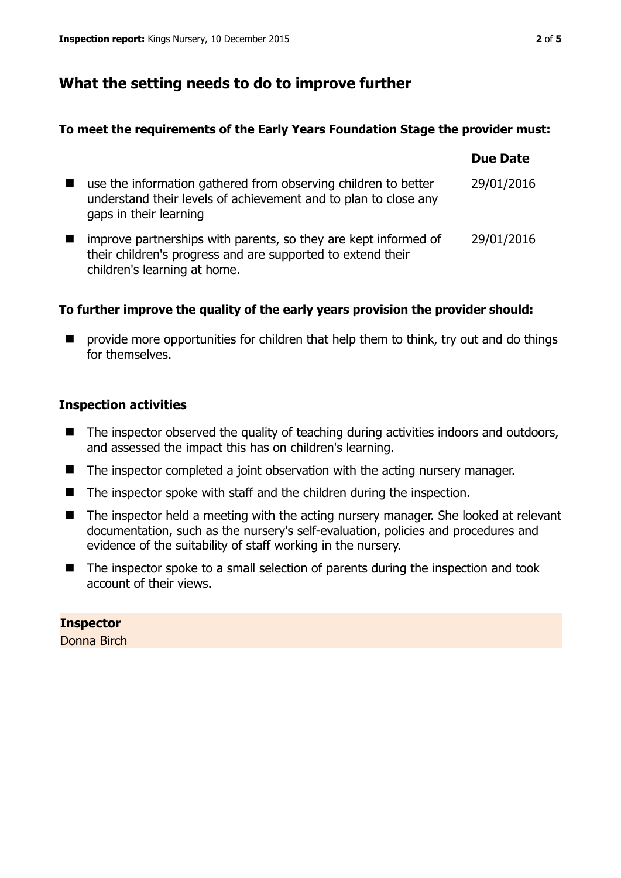# **What the setting needs to do to improve further**

#### **To meet the requirements of the Early Years Foundation Stage the provider must:**

|                                                                                                                                                                | Due Date   |
|----------------------------------------------------------------------------------------------------------------------------------------------------------------|------------|
| use the information gathered from observing children to better<br>understand their levels of achievement and to plan to close any<br>gaps in their learning    | 29/01/2016 |
| improve partnerships with parents, so they are kept informed of<br>their children's progress and are supported to extend their<br>children's learning at home. | 29/01/2016 |

## **To further improve the quality of the early years provision the provider should:**

**P** provide more opportunities for children that help them to think, try out and do things for themselves.

## **Inspection activities**

- $\blacksquare$  The inspector observed the quality of teaching during activities indoors and outdoors, and assessed the impact this has on children's learning.
- The inspector completed a joint observation with the acting nursery manager.
- $\blacksquare$  The inspector spoke with staff and the children during the inspection.
- The inspector held a meeting with the acting nursery manager. She looked at relevant documentation, such as the nursery's self-evaluation, policies and procedures and evidence of the suitability of staff working in the nursery.
- The inspector spoke to a small selection of parents during the inspection and took account of their views.

# **Inspector**

Donna Birch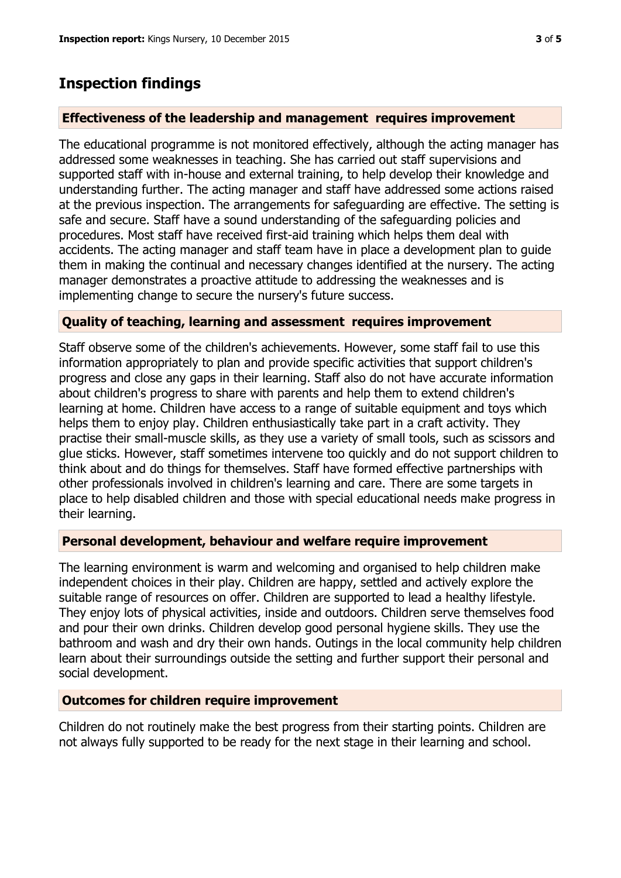# **Inspection findings**

#### **Effectiveness of the leadership and management requires improvement**

The educational programme is not monitored effectively, although the acting manager has addressed some weaknesses in teaching. She has carried out staff supervisions and supported staff with in-house and external training, to help develop their knowledge and understanding further. The acting manager and staff have addressed some actions raised at the previous inspection. The arrangements for safeguarding are effective. The setting is safe and secure. Staff have a sound understanding of the safeguarding policies and procedures. Most staff have received first-aid training which helps them deal with accidents. The acting manager and staff team have in place a development plan to guide them in making the continual and necessary changes identified at the nursery. The acting manager demonstrates a proactive attitude to addressing the weaknesses and is implementing change to secure the nursery's future success.

#### **Quality of teaching, learning and assessment requires improvement**

Staff observe some of the children's achievements. However, some staff fail to use this information appropriately to plan and provide specific activities that support children's progress and close any gaps in their learning. Staff also do not have accurate information about children's progress to share with parents and help them to extend children's learning at home. Children have access to a range of suitable equipment and toys which helps them to enjoy play. Children enthusiastically take part in a craft activity. They practise their small-muscle skills, as they use a variety of small tools, such as scissors and glue sticks. However, staff sometimes intervene too quickly and do not support children to think about and do things for themselves. Staff have formed effective partnerships with other professionals involved in children's learning and care. There are some targets in place to help disabled children and those with special educational needs make progress in their learning.

#### **Personal development, behaviour and welfare require improvement**

The learning environment is warm and welcoming and organised to help children make independent choices in their play. Children are happy, settled and actively explore the suitable range of resources on offer. Children are supported to lead a healthy lifestyle. They enjoy lots of physical activities, inside and outdoors. Children serve themselves food and pour their own drinks. Children develop good personal hygiene skills. They use the bathroom and wash and dry their own hands. Outings in the local community help children learn about their surroundings outside the setting and further support their personal and social development.

#### **Outcomes for children require improvement**

Children do not routinely make the best progress from their starting points. Children are not always fully supported to be ready for the next stage in their learning and school.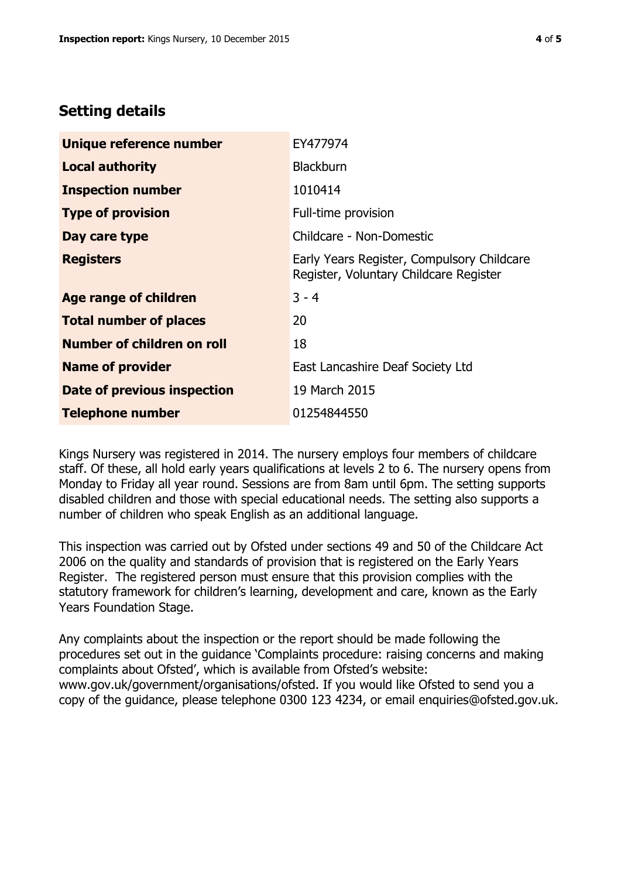# **Setting details**

| Unique reference number       | EY477974                                                                             |
|-------------------------------|--------------------------------------------------------------------------------------|
| <b>Local authority</b>        | <b>Blackburn</b>                                                                     |
| <b>Inspection number</b>      | 1010414                                                                              |
| <b>Type of provision</b>      | Full-time provision                                                                  |
| Day care type                 | Childcare - Non-Domestic                                                             |
| <b>Registers</b>              | Early Years Register, Compulsory Childcare<br>Register, Voluntary Childcare Register |
| <b>Age range of children</b>  | $3 - 4$                                                                              |
| <b>Total number of places</b> | 20                                                                                   |
| Number of children on roll    | 18                                                                                   |
| <b>Name of provider</b>       | East Lancashire Deaf Society Ltd                                                     |
| Date of previous inspection   | 19 March 2015                                                                        |
| <b>Telephone number</b>       | 01254844550                                                                          |

Kings Nursery was registered in 2014. The nursery employs four members of childcare staff. Of these, all hold early years qualifications at levels 2 to 6. The nursery opens from Monday to Friday all year round. Sessions are from 8am until 6pm. The setting supports disabled children and those with special educational needs. The setting also supports a number of children who speak English as an additional language.

This inspection was carried out by Ofsted under sections 49 and 50 of the Childcare Act 2006 on the quality and standards of provision that is registered on the Early Years Register. The registered person must ensure that this provision complies with the statutory framework for children's learning, development and care, known as the Early Years Foundation Stage.

Any complaints about the inspection or the report should be made following the procedures set out in the guidance 'Complaints procedure: raising concerns and making complaints about Ofsted', which is available from Ofsted's website: www.gov.uk/government/organisations/ofsted. If you would like Ofsted to send you a copy of the guidance, please telephone 0300 123 4234, or email enquiries@ofsted.gov.uk.